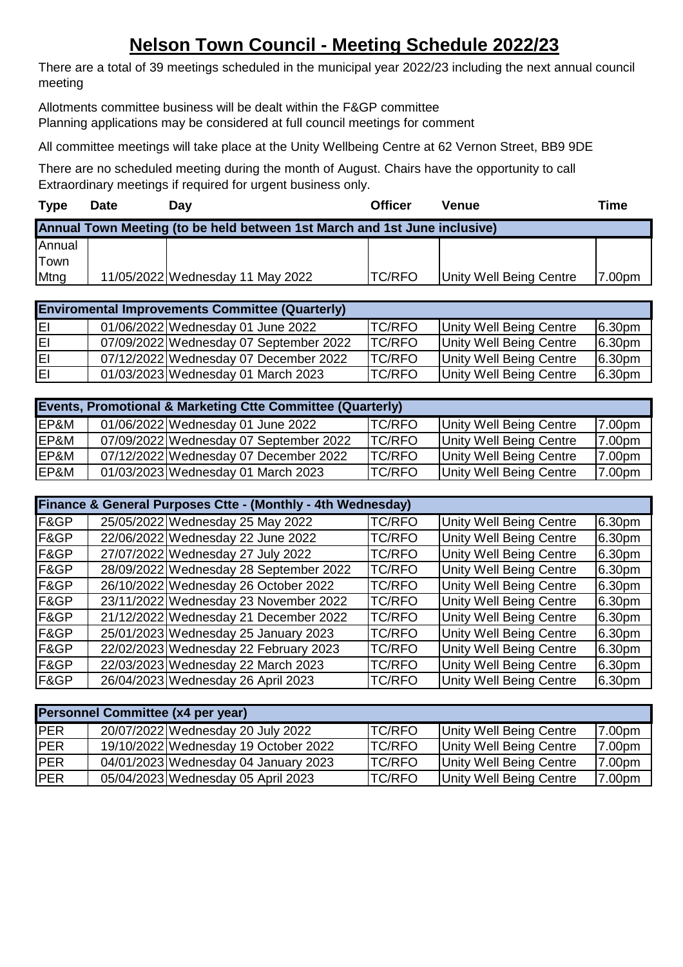## **Nelson Town Council - Meeting Schedule 2022/23**

There are a total of 39 meetings scheduled in the municipal year 2022/23 including the next annual council meeting

Allotments committee business will be dealt within the F&GP committee Planning applications may be considered at full council meetings for comment

All committee meetings will take place at the Unity Wellbeing Centre at 62 Vernon Street, BB9 9DE

There are no scheduled meeting during the month of August. Chairs have the opportunity to call Extraordinary meetings if required for urgent business only.

| <b>Type</b> | <b>Date</b> | Dav                                                                       | <b>Officer</b> | Venue                          | <b>Time</b> |
|-------------|-------------|---------------------------------------------------------------------------|----------------|--------------------------------|-------------|
|             |             | Annual Town Meeting (to be held between 1st March and 1st June inclusive) |                |                                |             |
| Annual      |             |                                                                           |                |                                |             |
| Town        |             |                                                                           |                |                                |             |
| Mtng        |             | 11/05/2022 Wednesday 11 May 2022                                          | <b>TC/RFO</b>  | <b>Unity Well Being Centre</b> | 7.00pm      |

| <b>Enviromental Improvements Committee (Quarterly)</b> |  |                                        |                |                         |                    |  |
|--------------------------------------------------------|--|----------------------------------------|----------------|-------------------------|--------------------|--|
| lΕΙ                                                    |  | 01/06/2022 Wednesday 01 June 2022      | <b>TC/RFO</b>  | Unity Well Being Centre | 6.30pm             |  |
| lΕΙ                                                    |  | 07/09/2022 Wednesday 07 September 2022 | <b>TC/RFO</b>  | Unity Well Being Centre | 6.30pm             |  |
| lΕΙ                                                    |  | 07/12/2022 Wednesday 07 December 2022  | <b>ITC/RFO</b> | Unity Well Being Centre | 6.30pm             |  |
| lΕΙ                                                    |  | 01/03/2023 Wednesday 01 March 2023     | <b>TC/RFO</b>  | Unity Well Being Centre | 6.30 <sub>pm</sub> |  |

| <b>Events, Promotional &amp; Marketing Ctte Committee (Quarterly)</b> |  |                                        |                |                         |        |  |
|-----------------------------------------------------------------------|--|----------------------------------------|----------------|-------------------------|--------|--|
| EP&M                                                                  |  | 01/06/2022 Wednesday 01 June 2022      | <b>TC/RFO</b>  | Unity Well Being Centre | 7.00pm |  |
| EP&M                                                                  |  | 07/09/2022 Wednesday 07 September 2022 | <b>ITC/RFO</b> | Unity Well Being Centre | 7.00pm |  |
| EP&M                                                                  |  | 07/12/2022 Wednesday 07 December 2022  | <b>ITC/RFO</b> | Unity Well Being Centre | 7.00pm |  |
| EP&M                                                                  |  | 01/03/2023 Wednesday 01 March 2023     | <b>TC/RFO</b>  | Unity Well Being Centre | 7.00pm |  |

| Finance & General Purposes Ctte - (Monthly - 4th Wednesday) |  |                                        |               |                                |        |  |
|-------------------------------------------------------------|--|----------------------------------------|---------------|--------------------------------|--------|--|
| F&GP                                                        |  | 25/05/2022 Wednesday 25 May 2022       | <b>TC/RFO</b> | <b>Unity Well Being Centre</b> | 6.30pm |  |
| F&GP                                                        |  | 22/06/2022 Wednesday 22 June 2022      | <b>TC/RFO</b> | Unity Well Being Centre        | 6.30pm |  |
| F&GP                                                        |  | 27/07/2022 Wednesday 27 July 2022      | <b>TC/RFO</b> | <b>Unity Well Being Centre</b> | 6.30pm |  |
| F&GP                                                        |  | 28/09/2022 Wednesday 28 September 2022 | <b>TC/RFO</b> | Unity Well Being Centre        | 6.30pm |  |
| F&GP                                                        |  | 26/10/2022 Wednesday 26 October 2022   | <b>TC/RFO</b> | <b>Unity Well Being Centre</b> | 6.30pm |  |
| F&GP                                                        |  | 23/11/2022 Wednesday 23 November 2022  | TC/RFO        | <b>Unity Well Being Centre</b> | 6.30pm |  |
| F&GP                                                        |  | 21/12/2022 Wednesday 21 December 2022  | TC/RFO        | <b>Unity Well Being Centre</b> | 6.30pm |  |
| F&GP                                                        |  | 25/01/2023 Wednesday 25 January 2023   | <b>TC/RFO</b> | <b>Unity Well Being Centre</b> | 6.30pm |  |
| F&GP                                                        |  | 22/02/2023 Wednesday 22 February 2023  | <b>TC/RFO</b> | <b>Unity Well Being Centre</b> | 6.30pm |  |
| F&GP                                                        |  | 22/03/2023 Wednesday 22 March 2023     | <b>TC/RFO</b> | <b>Unity Well Being Centre</b> | 6.30pm |  |
| F&GP                                                        |  | 26/04/2023 Wednesday 26 April 2023     | <b>TC/RFO</b> | <b>Unity Well Being Centre</b> | 6.30pm |  |

| Personnel Committee (x4 per year) |  |                                      |                |                         |        |  |  |
|-----------------------------------|--|--------------------------------------|----------------|-------------------------|--------|--|--|
| <b>PER</b>                        |  | 20/07/2022 Wednesday 20 July 2022    | <b>TC/RFO</b>  | Unity Well Being Centre | 7.00pm |  |  |
| <b>PER</b>                        |  | 19/10/2022 Wednesday 19 October 2022 | <b>ITC/RFO</b> | Unity Well Being Centre | 7.00pm |  |  |
| <b>PER</b>                        |  | 04/01/2023 Wednesday 04 January 2023 | <b>TC/RFO</b>  | Unity Well Being Centre | 7.00pm |  |  |
| <b>PER</b>                        |  | 05/04/2023 Wednesday 05 April 2023   | <b>TC/RFO</b>  | Unity Well Being Centre | 7.00pm |  |  |